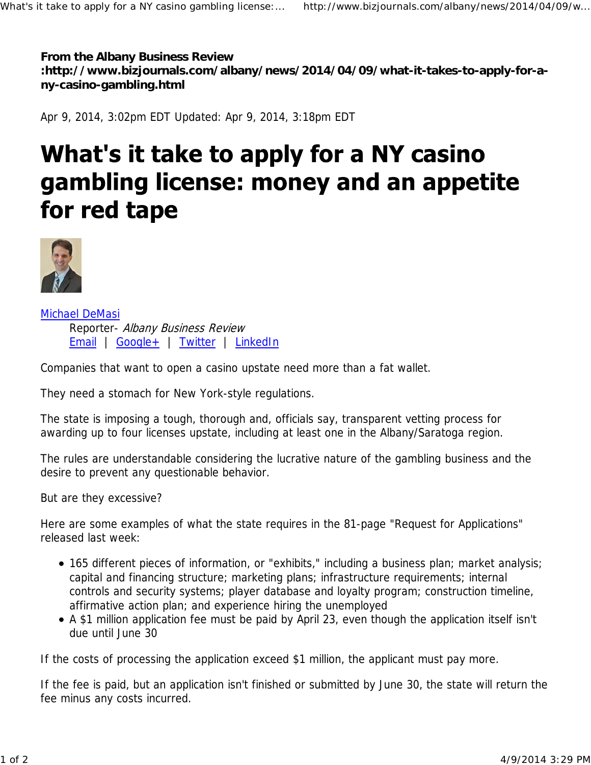**From the Albany Business Review :http://www.bizjournals.com/albany/news/2014/04/09/what-it-takes-to-apply-for-any-casino-gambling.html**

Apr 9, 2014, 3:02pm EDT Updated: Apr 9, 2014, 3:18pm EDT

## What's it take to apply for a NY casino gambling license: money and an appetite for red tape



Michael DeMasi Reporter- Albany Business Review Email | Google+ | Twitter | LinkedIn

Companies that want to open a casino upstate need more than a fat wallet.

They need a stomach for New York-style regulations.

The state is imposing a tough, thorough and, officials say, transparent vetting process for awarding up to four licenses upstate, including at least one in the Albany/Saratoga region.

The rules are understandable considering the lucrative nature of the gambling business and the desire to prevent any questionable behavior.

But are they excessive?

Here are some examples of what the state requires in the 81-page "Request for Applications" released last week:

- 165 different pieces of information, or "exhibits," including a business plan; market analysis; capital and financing structure; marketing plans; infrastructure requirements; internal controls and security systems; player database and loyalty program; construction timeline, affirmative action plan; and experience hiring the unemployed
- A \$1 million application fee must be paid by April 23, even though the application itself isn't due until June 30

If the costs of processing the application exceed \$1 million, the applicant must pay more.

If the fee is paid, but an application isn't finished or submitted by June 30, the state will return the fee minus any costs incurred.